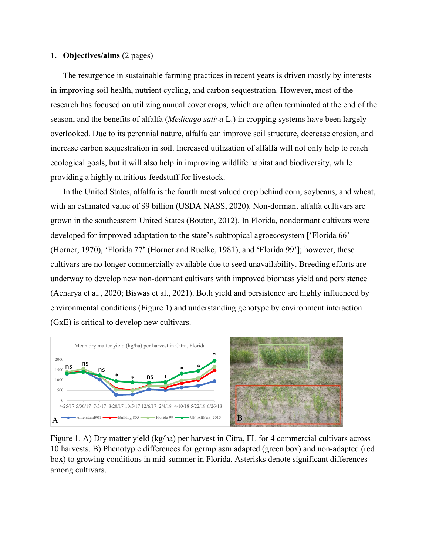#### **1. Objectives/aims** (2 pages)

The resurgence in sustainable farming practices in recent years is driven mostly by interests in improving soil health, nutrient cycling, and carbon sequestration. However, most of the research has focused on utilizing annual cover crops, which are often terminated at the end of the season, and the benefits of alfalfa (*Medicago sativa* L.) in cropping systems have been largely overlooked. Due to its perennial nature, alfalfa can improve soil structure, decrease erosion, and increase carbon sequestration in soil. Increased utilization of alfalfa will not only help to reach ecological goals, but it will also help in improving wildlife habitat and biodiversity, while providing a highly nutritious feedstuff for livestock.

In the United States, alfalfa is the fourth most valued crop behind corn, soybeans, and wheat, with an estimated value of \$9 billion (USDA NASS, 2020). Non-dormant alfalfa cultivars are grown in the southeastern United States (Bouton, 2012). In Florida, nondormant cultivars were developed for improved adaptation to the state's subtropical agroecosystem ['Florida 66' (Horner, 1970), 'Florida 77' (Horner and Ruelke, 1981), and 'Florida 99']; however, these cultivars are no longer commercially available due to seed unavailability. Breeding efforts are underway to develop new non-dormant cultivars with improved biomass yield and persistence (Acharya et al., 2020; Biswas et al., 2021). Both yield and persistence are highly influenced by environmental conditions (Figure 1) and understanding genotype by environment interaction (GxE) is critical to develop new cultivars.



Figure 1. A) Dry matter yield (kg/ha) per harvest in Citra, FL for 4 commercial cultivars across 10 harvests. B) Phenotypic differences for germplasm adapted (green box) and non-adapted (red box) to growing conditions in mid-summer in Florida. Asterisks denote significant differences among cultivars.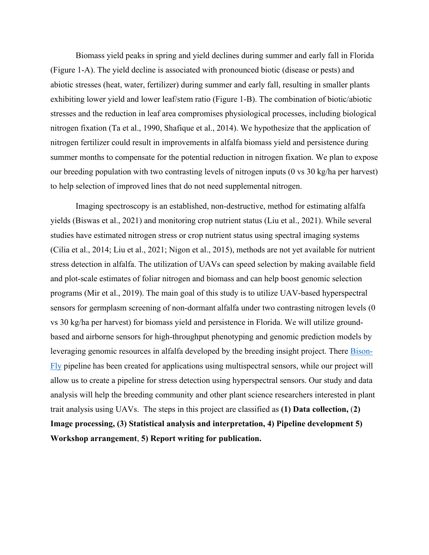Biomass yield peaks in spring and yield declines during summer and early fall in Florida (Figure 1-A). The yield decline is associated with pronounced biotic (disease or pests) and abiotic stresses (heat, water, fertilizer) during summer and early fall, resulting in smaller plants exhibiting lower yield and lower leaf/stem ratio (Figure 1-B). The combination of biotic/abiotic stresses and the reduction in leaf area compromises physiological processes, including biological nitrogen fixation (Ta et al., 1990, Shafique et al., 2014). We hypothesize that the application of nitrogen fertilizer could result in improvements in alfalfa biomass yield and persistence during summer months to compensate for the potential reduction in nitrogen fixation. We plan to expose our breeding population with two contrasting levels of nitrogen inputs (0 vs 30 kg/ha per harvest) to help selection of improved lines that do not need supplemental nitrogen.

Imaging spectroscopy is an established, non-destructive, method for estimating alfalfa yields (Biswas et al., 2021) and monitoring crop nutrient status (Liu et al., 2021). While several studies have estimated nitrogen stress or crop nutrient status using spectral imaging systems (Cilia et al., 2014; Liu et al., 2021; Nigon et al., 2015), methods are not yet available for nutrient stress detection in alfalfa. The utilization of UAVs can speed selection by making available field and plot-scale estimates of foliar nitrogen and biomass and can help boost genomic selection programs (Mir et al., 2019). The main goal of this study is to utilize UAV-based hyperspectral sensors for germplasm screening of non-dormant alfalfa under two contrasting nitrogen levels (0 vs 30 kg/ha per harvest) for biomass yield and persistence in Florida. We will utilize groundbased and airborne sensors for high-throughput phenotyping and genomic prediction models by leveraging genomic resources in alfalfa developed by [the breeding insight project.](https://breedinginsight.org/alfalfa/) There [Bison-](https://github.com/filipematias23/Bison-Fly)[Fly](https://github.com/filipematias23/Bison-Fly) pipeline has been created for applications using multispectral sensors, while our project will allow us to create a pipeline for stress detection using hyperspectral sensors. Our study and data analysis will help the breeding community and other plant science researchers interested in plant trait analysis using UAVs. The steps in this project are classified as **(1) Data collection,** (**2) Image processing, (3) Statistical analysis and interpretation, 4) Pipeline development 5) Workshop arrangement**, **5) Report writing for publication.**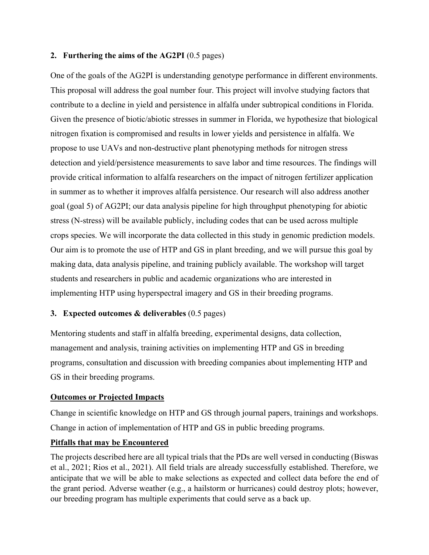## **2. Furthering the aims of the AG2PI** (0.5 pages)

One of the goals of the AG2PI is understanding genotype performance in different environments. This proposal will address the goal number four. This project will involve studying factors that contribute to a decline in yield and persistence in alfalfa under subtropical conditions in Florida. Given the presence of biotic/abiotic stresses in summer in Florida, we hypothesize that biological nitrogen fixation is compromised and results in lower yields and persistence in alfalfa. We propose to use UAVs and non-destructive plant phenotyping methods for nitrogen stress detection and yield/persistence measurements to save labor and time resources. The findings will provide critical information to alfalfa researchers on the impact of nitrogen fertilizer application in summer as to whether it improves alfalfa persistence. Our research will also address another goal (goal 5) of AG2PI; our data analysis pipeline for high throughput phenotyping for abiotic stress (N-stress) will be available publicly, including codes that can be used across multiple crops species. We will incorporate the data collected in this study in genomic prediction models. Our aim is to promote the use of HTP and GS in plant breeding, and we will pursue this goal by making data, data analysis pipeline, and training publicly available. The workshop will target students and researchers in public and academic organizations who are interested in implementing HTP using hyperspectral imagery and GS in their breeding programs.

# **3. Expected outcomes & deliverables** (0.5 pages)

Mentoring students and staff in alfalfa breeding, experimental designs, data collection, management and analysis, training activities on implementing HTP and GS in breeding programs, consultation and discussion with breeding companies about implementing HTP and GS in their breeding programs.

### **Outcomes or Projected Impacts**

Change in scientific knowledge on HTP and GS through journal papers, trainings and workshops. Change in action of implementation of HTP and GS in public breeding programs.

### **Pitfalls that may be Encountered**

The projects described here are all typical trials that the PDs are well versed in conducting (Biswas et al., 2021; Rios et al., 2021). All field trials are already successfully established. Therefore, we anticipate that we will be able to make selections as expected and collect data before the end of the grant period. Adverse weather (e.g., a hailstorm or hurricanes) could destroy plots; however, our breeding program has multiple experiments that could serve as a back up.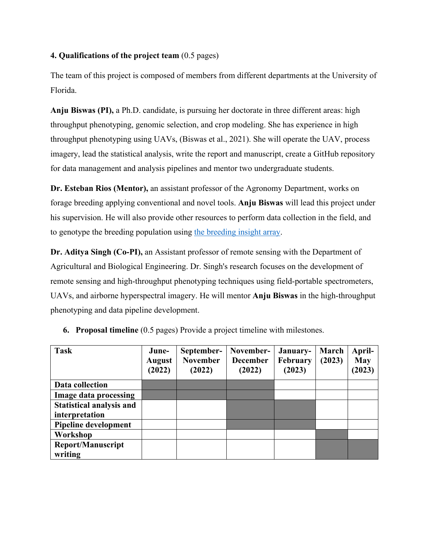# **4. Qualifications of the project team** (0.5 pages)

The team of this project is composed of members from different departments at the University of Florida.

**Anju Biswas (PI),** a Ph.D. candidate, is pursuing her doctorate in three different areas: high throughput phenotyping, genomic selection, and crop modeling. She has experience in high throughput phenotyping using UAVs, (Biswas et al., 2021). She will operate the UAV, process imagery, lead the statistical analysis, write the report and manuscript, create a GitHub repository for data management and analysis pipelines and mentor two undergraduate students.

**Dr. Esteban Rios (Mentor),** an assistant professor of the Agronomy Department, works on forage breeding applying conventional and novel tools. **Anju Biswas** will lead this project under his supervision. He will also provide other resources to perform data collection in the field, and to genotype the breeding population using [the breeding insight array.](https://breedinginsight.org/alfalfa/)

**Dr. Aditya Singh (Co-PI),** an Assistant professor of remote sensing with the Department of Agricultural and Biological Engineering. Dr. Singh's research focuses on the development of remote sensing and high-throughput phenotyping techniques using field-portable spectrometers, UAVs, and airborne hyperspectral imagery. He will mentor **Anju Biswas** in the high-throughput phenotyping and data pipeline development.

| <b>Task</b>                         | June-<br><b>August</b><br>(2022) | September-<br><b>November</b><br>(2022) | November-<br><b>December</b><br>(2022) | January-<br>February<br>(2023) | March<br>(2023) | April-<br><b>May</b><br>(2023) |
|-------------------------------------|----------------------------------|-----------------------------------------|----------------------------------------|--------------------------------|-----------------|--------------------------------|
| Data collection                     |                                  |                                         |                                        |                                |                 |                                |
| Image data processing               |                                  |                                         |                                        |                                |                 |                                |
| <b>Statistical analysis and</b>     |                                  |                                         |                                        |                                |                 |                                |
| interpretation                      |                                  |                                         |                                        |                                |                 |                                |
| <b>Pipeline development</b>         |                                  |                                         |                                        |                                |                 |                                |
| Workshop                            |                                  |                                         |                                        |                                |                 |                                |
| <b>Report/Manuscript</b><br>writing |                                  |                                         |                                        |                                |                 |                                |

|  |  |  |  | 6. Proposal timeline (0.5 pages) Provide a project timeline with milestones. |  |
|--|--|--|--|------------------------------------------------------------------------------|--|
|--|--|--|--|------------------------------------------------------------------------------|--|